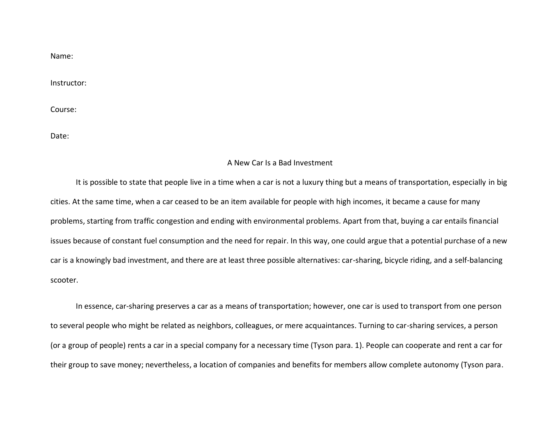Name:

Instructor:

Course:

Date:

## A New Car Is a Bad Investment

It is possible to state that people live in a time when a car is not a luxury thing but a means of transportation, especially in big cities. At the same time, when a car ceased to be an item available for people with high incomes, it became a cause for many problems, starting from traffic congestion and ending with environmental problems. Apart from that, buying a car entails financial issues because of constant fuel consumption and the need for repair. In this way, one could argue that a potential purchase of a new car is a knowingly bad investment, and there are at least three possible alternatives: car-sharing, bicycle riding, and a self-balancing scooter.

In essence, car-sharing preserves a car as a means of transportation; however, one car is used to transport from one person to several people who might be related as neighbors, colleagues, or mere acquaintances. Turning to car-sharing services, a person (or a group of people) rents a car in a special company for a necessary time (Tyson para. 1). People can cooperate and rent a car for their group to save money; nevertheless, a location of companies and benefits for members allow complete autonomy (Tyson para.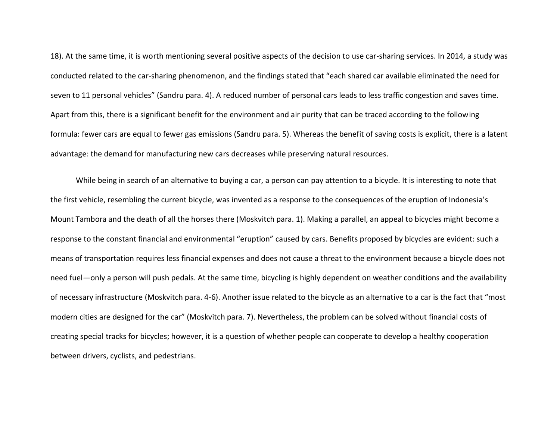18). At the same time, it is worth mentioning several positive aspects of the decision to use car-sharing services. In 2014, a study was conducted related to the car-sharing phenomenon, and the findings stated that "each shared car available eliminated the need for seven to 11 personal vehicles" (Sandru para. 4). A reduced number of personal cars leads to less traffic congestion and saves time. Apart from this, there is a significant benefit for the environment and air purity that can be traced according to the following formula: fewer cars are equal to fewer gas emissions (Sandru para. 5). Whereas the benefit of saving costs is explicit, there is a latent advantage: the demand for manufacturing new cars decreases while preserving natural resources.

While being in search of an alternative to buying a car, a person can pay attention to a bicycle. It is interesting to note that the first vehicle, resembling the current bicycle, was invented as a response to the consequences of the eruption of Indonesia's Mount Tambora and the death of all the horses there (Moskvitch para. 1). Making a parallel, an appeal to bicycles might become a response to the constant financial and environmental "eruption" caused by cars. Benefits proposed by bicycles are evident: such a means of transportation requires less financial expenses and does not cause a threat to the environment because a bicycle does not need fuel—only a person will push pedals. At the same time, bicycling is highly dependent on weather conditions and the availability of necessary infrastructure (Moskvitch para. 4-6). Another issue related to the bicycle as an alternative to a car is the fact that "most modern cities are designed for the car" (Moskvitch para. 7). Nevertheless, the problem can be solved without financial costs of creating special tracks for bicycles; however, it is a question of whether people can cooperate to develop a healthy cooperation between drivers, cyclists, and pedestrians.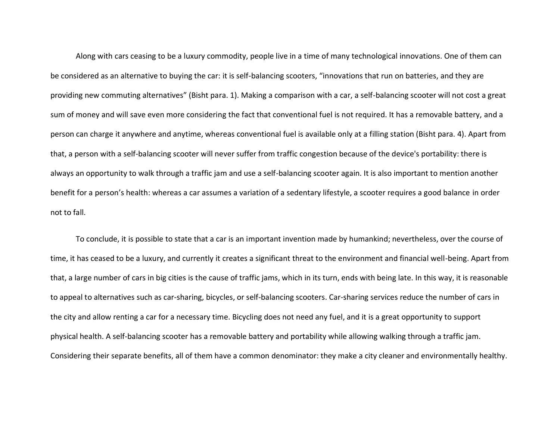Along with cars ceasing to be a luxury commodity, people live in a time of many technological innovations. One of them can be considered as an alternative to buying the car: it is self-balancing scooters, "innovations that run on batteries, and they are providing new commuting alternatives" (Bisht para. 1). Making a comparison with a car, a self-balancing scooter will not cost a great sum of money and will save even more considering the fact that conventional fuel is not required. It has a removable battery, and a person can charge it anywhere and anytime, whereas conventional fuel is available only at a filling station (Bisht para. 4). Apart from that, a person with a self-balancing scooter will never suffer from traffic congestion because of the device's portability: there is always an opportunity to walk through a traffic jam and use a self-balancing scooter again. It is also important to mention another benefit for a person's health: whereas a car assumes a variation of a sedentary lifestyle, a scooter requires a good balance in order not to fall.

To conclude, it is possible to state that a car is an important invention made by humankind; nevertheless, over the course of time, it has ceased to be a luxury, and currently it creates a significant threat to the environment and financial well-being. Apart from that, a large number of cars in big cities is the cause of traffic jams, which in its turn, ends with being late. In this way, it is reasonable to appeal to alternatives such as car-sharing, bicycles, or self-balancing scooters. Car-sharing services reduce the number of cars in the city and allow renting a car for a necessary time. Bicycling does not need any fuel, and it is a great opportunity to support physical health. A self-balancing scooter has a removable battery and portability while allowing walking through a traffic jam. Considering their separate benefits, all of them have a common denominator: they make a city cleaner and environmentally healthy.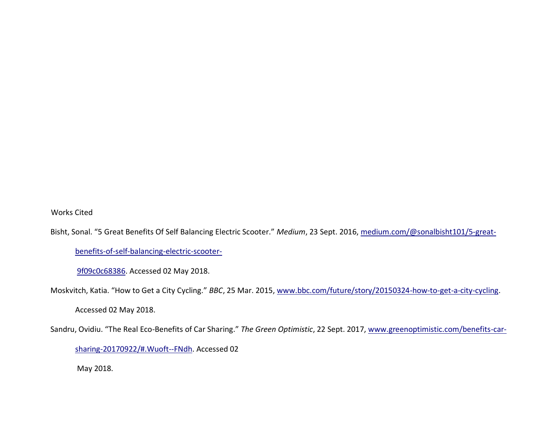Works Cited

Bisht, Sonal. "5 Great Benefits Of Self Balancing Electric Scooter." *Medium*, 23 Sept. 2016, medium.com/@sonalbisht101/5-great-

benefits-of-self-balancing-electric-scooter-

9f09c0c68386. Accessed 02 May 2018.

Moskvitch, Katia. "How to Get a City Cycling." *BBC*, 25 Mar. 2015, www.bbc.com/future/story/20150324-how-to-get-a-city-cycling.

Accessed 02 May 2018.

Sandru, Ovidiu. "The Real Eco-Benefits of Car Sharing." *The Green Optimistic*, 22 Sept. 2017, www.greenoptimistic.com/benefits-car-

sharing-20170922/#.Wuoft--FNdh. Accessed 02

May 2018.